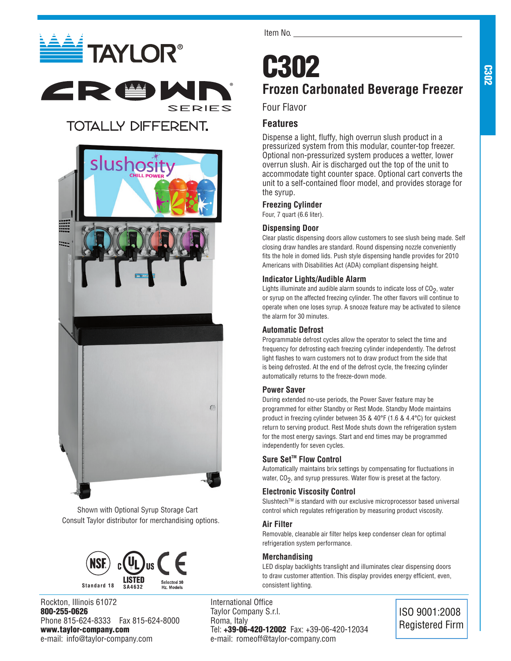# **ELECTAYLOR®** ZR ®

## **TOTALLY DIFFERENT.**



Shown with Optional Syrup Storage Cart Consult Taylor distributor for merchandising options.



Rockton, Illinois 61072 800-255-0626 Phone 815-624-8333 Fax 815-624-8000 www.taylor-company.com e-mail: info@taylor-company.com

Item No.

## C302 **Frozen Carbonated Beverage Freezer**

## Four Flavor

®

**SERIES** 

## **Features**

Dispense a light, fluffy, high overrun slush product in a pressurized system from this modular, counter-top freezer. Optional non-pressurized system produces a wetter, lower overrun slush. Air is discharged out the top of the unit to accommodate tight counter space. Optional cart converts the unit to a self-contained floor model, and provides storage for the syrup.

## **Freezing Cylinder**

Four, 7 quart (6.6 liter).

## **Dispensing Door**

Clear plastic dispensing doors allow customers to see slush being made. Self closing draw handles are standard. Round dispensing nozzle conveniently fits the hole in domed lids. Push style dispensing handle provides for 2010 Americans with Disabilities Act (ADA) compliant dispensing height.

## **Indicator Lights/Audible Alarm**

Lights illuminate and audible alarm sounds to indicate loss of  $CO<sub>2</sub>$ , water or syrup on the affected freezing cylinder. The other flavors will continue to operate when one loses syrup. A snooze feature may be activated to silence the alarm for 30 minutes.

## **Automatic Defrost**

Programmable defrost cycles allow the operator to select the time and frequency for defrosting each freezing cylinder independently. The defrost light flashes to warn customers not to draw product from the side that is being defrosted. At the end of the defrost cycle, the freezing cylinder automatically returns to the freeze-down mode.

## **Power Saver**

During extended no-use periods, the Power Saver feature may be programmed for either Standby or Rest Mode. Standby Mode maintains product in freezing cylinder between 35 & 40°F (1.6 & 4.4°C) for quickest return to serving product. Rest Mode shuts down the refrigeration system for the most energy savings. Start and end times may be programmed independently for seven cycles.

## **Sure Set<sup>™</sup> Flow Control**

Automatically maintains brix settings by compensating for fluctuations in water,  $CO<sub>2</sub>$ , and syrup pressures. Water flow is preset at the factory.

## **Electronic Viscosity Control**

Slushtech™ is standard with our exclusive microprocessor based universal control which regulates refrigeration by measuring product viscosity.

### **Air Filter**

Removable, cleanable air filter helps keep condenser clean for optimal refrigeration system performance.

## **Merchandising**

LED display backlights translight and illuminates clear dispensing doors to draw customer attention. This display provides energy efficient, even, consistent lighting.

International Office Taylor Company S.r.l. Roma, Italy Tel: +39-06-420-12002 Fax: +39-06-420-12034 e-mail: romeoff@taylor-company.com